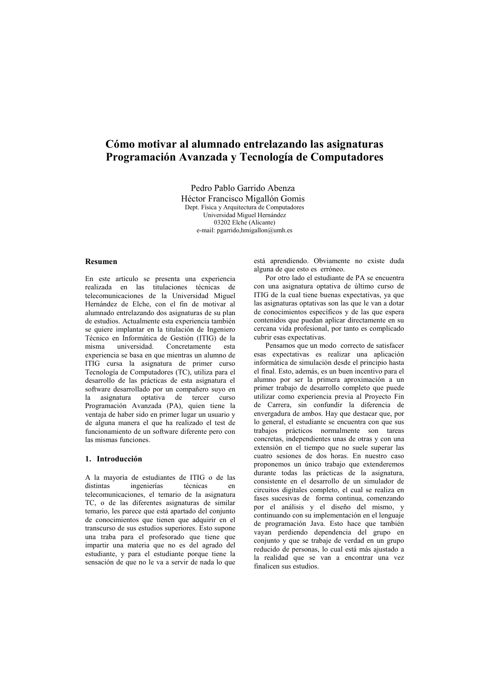# Cómo motivar al alumnado entrelazando las asignaturas Programación Avanzada y Tecnología de Computadores

Pedro Pablo Garrido Abenza Héctor Francisco Migallón Gomis Dent. Física y Arquitectura de Computadores Universidad Miguel Hernández 03202 Elche (Alicante) e-mail: pgarrido,hmigallon@umh.es

## **Resumen**

En este artículo se presenta una experiencia realizada en las titulaciones técnicas de telecomunicaciones de la Universidad Miguel Hernández de Elche, con el fin de motivar al alumnado entrelazando dos asignaturas de su plan de estudios. Actualmente esta experiencia también se quiere implantar en la titulación de Ingeniero Técnico en Informática de Gestión (ITIG) de la universidad. Concretamente misma eeta experiencia se basa en que mientras un alumno de ITIG cursa la asignatura de primer curso Tecnología de Computadores (TC), utiliza para el desarrollo de las prácticas de esta asignatura el software desarrollado por un compañero suyo en la asignatura optativa de tercer curso Programación Avanzada (PA), quien tiene la ventaja de haber sido en primer lugar un usuario y de alguna manera el que ha realizado el test de funcionamiento de un software diferente pero con las mismas funciones.

## 1 Introducción

A la mayoría de estudiantes de ITIG o de las distintas ingenierías técnicas en telecomunicaciones, el temario de la asignatura TC, o de las diferentes asignaturas de similar temario, les parece que está apartado del conjunto de conocimientos que tienen que adquirir en el transcurso de sus estudios superiores. Esto supone una traba para el profesorado que tiene que impartir una materia que no es del agrado del estudiante, y para el estudiante porque tiene la sensación de que no le va a servir de nada lo que está aprendiendo. Obviamente no existe duda alguna de que esto es erróneo.

Por otro lado el estudiante de PA se encuentra con una asignatura optativa de último curso de ITIG de la cual tiene buenas expectativas, va que las asignaturas optativas son las que le van a dotar de conocimientos específicos y de las que espera contenidos que puedan aplicar directamente en su cercana vida profesional, por tanto es complicado cubrir esas expectativas.

Pensamos que un modo correcto de satisfacer esas expectativas es realizar una aplicación informática de simulación desde el principio hasta el final. Esto, además, es un buen incentivo para el alumno por ser la primera aproximación a un primer trabajo de desarrollo completo que puede utilizar como experiencia previa al Provecto Fin de Carrera, sin confundir la diferencia de envergadura de ambos. Hay que destacar que, por lo general, el estudiante se encuentra con que sus trabajos prácticos normalmente son tareas concretas, independientes unas de otras y con una extensión en el tiempo que no suele superar las cuatro sesiones de dos horas. En nuestro caso proponemos un único trabajo que extenderemos durante todas las prácticas de la asignatura, consistente en el desarrollo de un simulador de circuitos digitales completo, el cual se realiza en fases sucesivas de forma continua, comenzando por el análisis y el diseño del mismo, y continuando con su implementación en el lenguaje de programación Java. Esto hace que también vayan perdiendo dependencia del grupo en conjunto y que se trabaje de verdad en un grupo reducido de personas, lo cual está más ajustado a la realidad que se van a encontrar una vez finalicen sus estudios.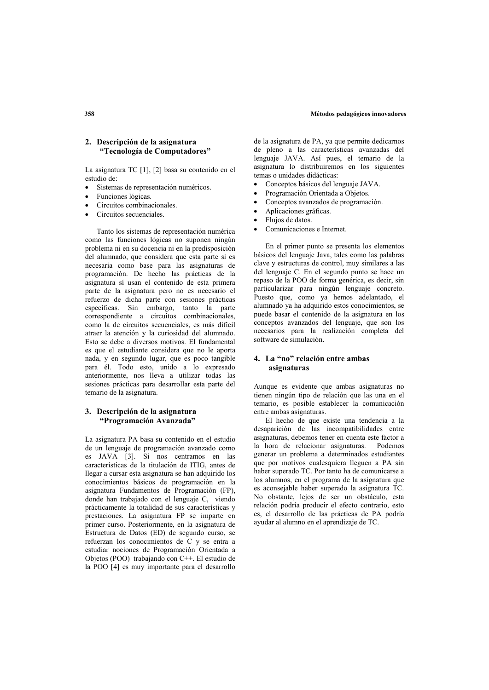# 2. Descripción de la asignatura "Tecnología de Computadores"

La asignatura TC [1], [2] basa su contenido en el estudio de:

- Sistemas de representación numéricos.  $\bullet$
- Funciones lógicas.
- Circuitos combinacionales
- Circuitos secuenciales.

Tanto los sistemas de representación numérica como las funciones lógicas no suponen ningún problema ni en su docencia ni en la predisposición del alumnado, que considera que esta parte sí es necesaria como base para las asignaturas de programación. De hecho las prácticas de la asignatura sí usan el contenido de esta primera parte de la asignatura pero no es necesario el refuerzo de dicha parte con sesiones prácticas específicas. Sin embargo, tanto la parte<br>correspondiente a circuitos combinacionales. como la de circuitos secuenciales, es más difícil atraer la atención y la curiosidad del alumnado. Esto se debe a diversos motivos. El fundamental es que el estudiante considera que no le aporta nada, y en segundo lugar, que es poco tangible para él. Todo esto, unido a lo expresado anteriormente, nos lleva a utilizar todas las sesiones prácticas para desarrollar esta parte del temario de la asignatura.

## 3. Descripción de la asignatura "Programación Avanzada"

La asignatura PA basa su contenido en el estudio de un lenguaje de programación avanzado como es JAVA [3]. Si nos centramos en las características de la titulación de ITIG antes de llegar a cursar esta asignatura se han adquirido los conocimientos básicos de programación en la asignatura Fundamentos de Programación (FP). donde han trabajado con el lenguaje C, viendo prácticamente la totalidad de sus características y prestaciones. La asignatura FP se imparte en primer curso. Posteriormente, en la asignatura de Estructura de Datos (ED) de segundo curso, se refuerzan los conocimientos de C y se entra a estudiar nociones de Programación Orientada a Objetos (POO) trabajando con C++. El estudio de la POO [4] es muy importante para el desarrollo de la asignatura de PA, ya que permite dedicarnos de pleno a las características avanzadas del lenguaje JAVA. Así pues, el temario de la asignatura lo distribuiremos en los siguientes temas o unidades didácticas:

- $\bullet$ Conceptos básicos del lenguaie JAVA.
- Programación Orientada a Obietos.
- Conceptos avanzados de programación.
- $\overline{\phantom{a}}$ Aplicaciones gráficas.
- Flujos de datos.
- Comunicaciones e Internet.

En el primer punto se presenta los elementos básicos del lenguaje Java, tales como las palabras clave y estructuras de control, muy similares a las del lenguaje C. En el segundo punto se hace un repaso de la POO de forma genérica, es decir, sin particularizar para ningún lenguaie concreto. Puesto que como va hemos adelantado el alumnado ya ha adquirido estos conocimientos, se puede basar el contenido de la asignatura en los conceptos avanzados del lenguaje, que son los necesarios para la realización completa del software de simulación.

# 4. La "no" relación entre ambas asignaturas

Aunque es evidente que ambas asignaturas no tienen ningún tipo de relación que las una en el temario, es posible establecer la comunicación entre ambas asignaturas.

El hecho de que existe una tendencia a la desaparición de las incompatibilidades entre asignaturas, debemos tener en cuenta este factor a la hora de relacionar asignaturas. Podemos generar un problema a determinados estudiantes que por motivos cualesquiera lleguen a PA sin haber superado TC. Por tanto ha de comunicarse a los alumnos, en el programa de la asignatura que es aconsejable haber superado la asignatura TC. No obstante, lejos de ser un obstáculo, esta relación podría producir el efecto contrario, esto es, el desarrollo de las prácticas de PA podría ayudar al alumno en el aprendizaje de TC.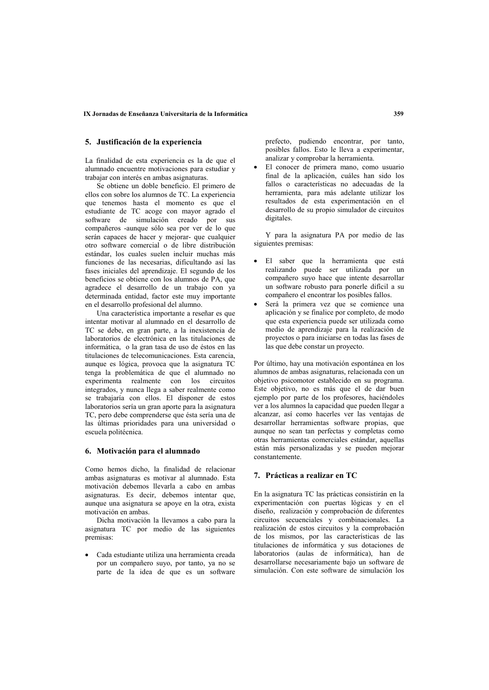## 5. Justificación de la experiencia

La finalidad de esta experiencia es la de que el alumnado encuentre motivaciones para estudiar y trabajar con interés en ambas asignaturas.

Se obtiene un doble beneficio. El primero de ellos con sobre los alumnos de TC. La experiencia que tenemos hasta el momento es que el estudiante de TC acoge con mayor agrado el software de simulación creado por sus compañeros -aunque sólo sea por ver de lo que serán capaces de hacer y mejorar- que cualquier otro software comercial o de libre distribución estándar. los cuales suelen incluir muchas más funciones de las necesarias, dificultando así las fases iniciales del aprendizaje. El segundo de los beneficios se obtiene con los alumnos de PA, que agradece el desarrollo de un trabajo con va determinada entidad, factor este muy importante en el desarrollo profesional del alumno.

Una característica importante a reseñar es que intentar motivar al alumnado en el desarrollo de TC se debe, en gran parte, a la inexistencia de laboratorios de electrónica en las titulaciones de informática, o la gran tasa de uso de éstos en las titulaciones de telecomunicaciones. Esta carencia, aunque es lógica, provoca que la asignatura TC tenga la problemática de que el alumnado no experimenta realmente con los circuitos integrados, y nunca llega a saber realmente como se trabajaría con ellos. El disponer de estos laboratorios sería un gran aporte para la asignatura TC. pero debe comprenderse que ésta sería una de las últimas prioridades para una universidad o escuela politécnica.

## 6. Motivación para el alumnado

Como hemos dicho, la finalidad de relacionar ambas asignaturas es motivar al alumnado. Esta motivación debemos llevarla a cabo en ambas asignaturas. Es decir, debemos intentar que, aunque una asignatura se apoye en la otra, exista motivación en ambas

Dicha motivación la llevamos a cabo para la asignatura TC por medio de las siguientes premisas:

• Cada estudiante utiliza una herramienta creada por un compañero suyo, por tanto, ya no se parte de la idea de que es un software prefecto, pudiendo encontrar, por tanto, posibles fallos. Esto le lleva a experimentar, analizar y comprobar la herramienta.

El conocer de primera mano, como usuario final de la aplicación, cuáles han sido los fallos o características no adecuadas de la herramienta, para más adelante utilizar los resultados de esta experimentación en el desarrollo de su propio simulador de circuitos digitales.

Y para la asignatura PA por medio de las siguientes premisas:

- · El saber que la herramienta que está realizando puede ser utilizada por un compañero suyo hace que intente desarrollar un software robusto para ponerle difícil a su compañero el encontrar los posibles fallos.
- Será la primera vez que se comience una aplicación y se finalice por completo, de modo que esta experiencia puede ser utilizada como medio de aprendizaje para la realización de proyectos o para iniciarse en todas las fases de las que debe constar un proyecto.

Por último, hay una motivación espontánea en los alumnos de ambas asignaturas, relacionada con un objetivo psicomotor establecido en su programa. Este objetivo, no es más que el de dar buen ejemplo por parte de los profesores, haciéndoles ver a los alumnos la capacidad que pueden llegar a alcanzar, así como hacerles ver las ventajas de desarrollar herramientas software propias, que aunque no sean tan perfectas y completas como otras herramientas comerciales estándar, aquellas están más personalizadas y se pueden mejorar constantemente.

## 7. Prácticas a realizar en TC

En la asignatura TC las prácticas consistirán en la experimentación con puertas lógicas y en el diseño, realización y comprobación de diferentes circuitos secuenciales y combinacionales. La realización de estos circuitos y la comprobación de los mismos, por las características de las titulaciones de informática y sus dotaciones de laboratorios (aulas de informática), han de desarrollarse necesariamente bajo un software de simulación. Con este software de simulación los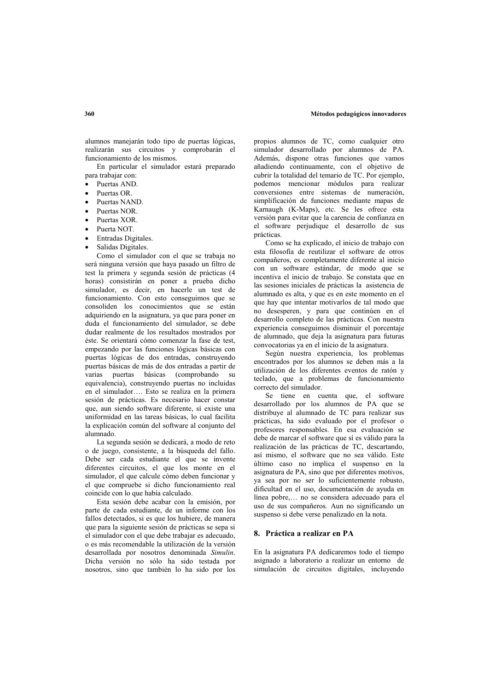alumnos manejarán todo tipo de puertas lógicas, realizarán sus circuitos y comprobarán el funcionamiento de los mismos.

En particular el simulador estará preparado para trabajar con:

- Puertas AND.
- Puertas OR.
- Puertas NAND
- Puertas NOR
- Puertas XOR
- Puerta NOT
- Entradas Digitales.
- Salidas Digitales.

Como el simulador con el que se trabaja no será ninguna versión que haya pasado un filtro de test la primera y segunda sesión de prácticas (4 horas) consistirán en poner a prueba dicho simulador, es decir, en hacerle un test de funcionamiento. Con esto conseguimos que se consoliden los conocimientos que se están adquiriendo en la asignatura, va que para poner en duda el funcionamiento del simulador, se debe dudar realmente de los resultados mostrados por éste. Se orientará cómo comenzar la fase de test, empezando por las funciones lógicas básicas con puertas lógicas de dos entradas, construyendo puertas básicas de más de dos entradas a partir de varias puertas básicas (comprobando su equivalencia), construyendo puertas no incluidas en el simulador.... Esto se realiza en la primera sesión de prácticas. Es necesario hacer constar que, aun siendo software diferente, sí existe una uniformidad en las tareas básicas, lo cual facilita la explicación común del software al conjunto del  $alumnado$ 

La segunda sesión se dedicará, a modo de reto o de juego, consistente, a la búsqueda del fallo. Debe ser cada estudiante el que se invente diferentes circuitos, el que los monte en el simulador, el que calcule cómo deben funcionar y el que compruebe si dicho funcionamiento real coincide con lo que había calculado.

Esta sesión debe acabar con la emisión, por parte de cada estudiante, de un informe con los fallos detectados, si es que los hubiere, de manera que para la siguiente sesión de prácticas se sepa si el simulador con el que debe trabajar es adecuado. o es más recomendable la utilización de la versión desarrollada por nosotros denominada Simulin Dicha versión no sólo ha sido testada por nosotros, sino que también lo ha sido por los

propios alumnos de TC, como cualquier otro simulador desarrollado por alumnos de PA. Además, dispone otras funciones que vamos añadiendo continuamente, con el objetivo de cubrir la totalidad del temario de TC. Por ejemplo. podemos mencionar módulos para realizar conversiones entre sistemas de numeración, simplificación de funciones mediante mapas de Karnaugh (K-Maps), etc. Se les ofrece esta versión para evitar que la carencia de confianza en el software perjudique el desarrollo de sus prácticas

Como se ha explicado, el inicio de trabajo con esta filosofía de reutilizar el software de otros compañeros, es completamente diferente al inicio con un software estándar, de modo que se incentiva el inicio de trabajo. Se constata que en las sesiones iniciales de prácticas la asistencia de alumnado es alta, y que es en este momento en el que hay que intentar motivarlos de tal modo que no desesperen, y para que continúen en el desarrollo completo de las prácticas. Con nuestra experiencia conseguimos disminuir el porcentaje de alumnado, que deja la asignatura para futuras convocatorias va en el inicio de la asignatura.

Según nuestra experiencia, los problemas encontrados por los alumnos se deben más a la utilización de los diferentes eventos de ratón y teclado, que a problemas de funcionamiento correcto del simulador.

Se tiene en cuenta que, el software desarrollado por los alumnos de PA que se distribuye al alumnado de TC para realizar sus prácticas, ha sido evaluado por el profesor o profesores responsables. En esa evaluación se debe de marcar el software que sí es válido para la realización de las prácticas de TC, descartando, así mismo, el software que no sea válido. Este último caso no implica el suspenso en la asignatura de PA, sino que por diferentes motivos, ya sea por no ser lo suficientemente robusto, dificultad en el uso, documentación de ayuda en línea pobre,... no se considera adecuado para el uso de sus compañeros. Aun no significando un suspenso si debe verse penalizado en la nota.

## 8. Práctica a realizar en PA

En la asignatura PA dedicaremos todo el tiempo asignado a laboratorio a realizar un entorno de simulación de circuitos digitales, incluyendo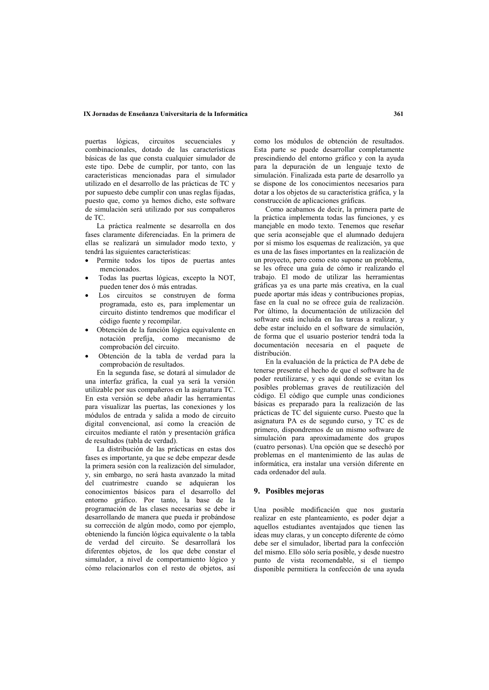## IX Jornadas de Enseñanza Universitaria de la Informática

puertas lógicas. circuitos secuenciales y combinacionales, dotado de las características básicas de las que consta cualquier simulador de este tipo. Debe de cumplir, por tanto, con las características mencionadas para el simulador utilizado en el desarrollo de las prácticas de TC y por supuesto debe cumplir con unas reglas fijadas, puesto que, como va hemos dicho, este software de simulación será utilizado por sus compañeros de TC.

La práctica realmente se desarrolla en dos fases claramente diferenciadas. En la primera de ellas se realizará un simulador modo texto, v tendrá las siguientes características:

- Permite todos los tipos de puertas antes mencionados.
- Todas las puertas lógicas, excepto la NOT, pueden tener dos ó más entradas.
- Los circuitos se construyen de forma programada, esto es, para implementar un circuito distinto tendremos que modificar el código fuente y recompilar.
- · Obtención de la función lógica equivalente en notación prefija, como mecanismo de comprobación del circuito.
- Obtención de la tabla de verdad para la comprobación de resultados.

En la segunda fase, se dotará al simulador de una interfaz gráfica, la cual ya será la versión utilizable por sus compañeros en la asignatura TC. En esta versión se debe añadir las herramientas para visualizar las puertas, las conexiones y los módulos de entrada y salida a modo de circuito digital convencional, así como la creación de circuitos mediante el ratón y presentación gráfica de resultados (tabla de verdad).

La distribución de las prácticas en estas dos fases es importante, va que se debe empezar desde la primera sesión con la realización del simulador, y, sin embargo, no será hasta avanzado la mitad del cuatrimestre cuando se adquieran los conocimientos básicos para el desarrollo del entorno gráfico. Por tanto, la base de la programación de las clases necesarias se debe ir desarrollando de manera que pueda ir probándose su corrección de algún modo, como por ejemplo, obteniendo la función lógica equivalente o la tabla de verdad del circuito. Se desarrollará los diferentes objetos, de los que debe constar el simulador, a nivel de comportamiento lógico y cómo relacionarlos con el resto de objetos, así

como los módulos de obtención de resultados. Esta parte se puede desarrollar completamente prescindiendo del entorno gráfico y con la avuda para la depuración de un lenguaje texto de simulación. Finalizada esta parte de desarrollo va se dispone de los conocimientos necesarios para dotar a los objetos de su característica gráfica, y la construcción de aplicaciones gráficas.

Como acabamos de decir. la primera parte de la práctica implementa todas las funciones, y es maneiable en modo texto. Tenemos que reseñar que sería aconsejable que el alumnado dedujera por sí mismo los esquemas de realización, va que es una de las fases importantes en la realización de un proyecto, pero como esto supone un problema, se les ofrece una guía de cómo ir realizando el trabajo. El modo de utilizar las herramientas gráficas va es una parte más creativa, en la cual puede aportar más ideas y contribuciones propias, fase en la cual no se ofrece guía de realización. Por último, la documentación de utilización del software está incluida en las tareas a realizar, y debe estar incluido en el software de simulación. de forma que el usuario posterior tendrá toda la documentación necesaria en el paquete de dietribución

En la evaluación de la práctica de PA debe de tenerse presente el hecho de que el software ha de poder reutilizarse, y es aquí donde se evitan los posibles problemas graves de reutilización del código. El código que cumple unas condiciones básicas es preparado para la realización de las prácticas de TC del siguiente curso. Puesto que la asignatura PA es de segundo curso, y TC es de primero, dispondremos de un mismo software de simulación para aproximadamente dos grupos (cuatro personas). Una opción que se desechó por problemas en el mantenimiento de las aulas de informática era instalar una versión diferente en cada ordenador del aula.

### 9. Posibles mejoras

Una posible modificación que nos gustaría realizar en este planteamiento, es poder dejar a aquellos estudiantes aventajados que tienen las ideas muy claras, y un concepto diferente de cómo debe ser el simulador, libertad para la confección del mismo. Ello sólo sería posible, y desde nuestro punto de vista recomendable, si el tiempo disponible permitiera la confección de una ayuda